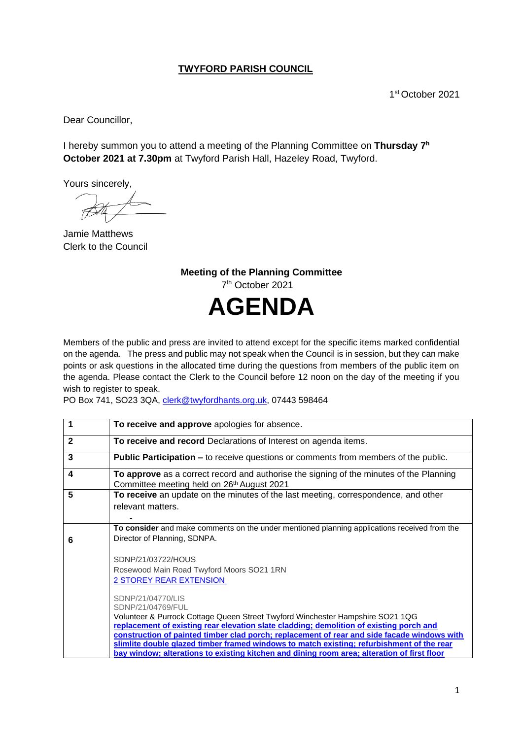## **TWYFORD PARISH COUNCIL**

1 st October 2021

Dear Councillor,

I hereby summon you to attend a meeting of the Planning Committee on Thursday 7<sup>h</sup> **October 2021 at 7.30pm** at Twyford Parish Hall, Hazeley Road, Twyford.

Yours sincerely,

Jamie Matthews Clerk to the Council

**Meeting of the Planning Committee** 7 th October 2021 **AGENDA**

Members of the public and press are invited to attend except for the specific items marked confidential on the agenda. The press and public may not speak when the Council is in session, but they can make points or ask questions in the allocated time during the questions from members of the public item on the agenda. Please contact the Clerk to the Council before 12 noon on the day of the meeting if you wish to register to speak.

PO Box 741, SO23 3QA, [clerk@twyfordhants.org.uk,](mailto:clerk@twyfordhants.org.uk) 07443 598464

|              | To receive and approve apologies for absence.                                                                                                                                                                                                                                                                                                                                                                                                                                                                  |
|--------------|----------------------------------------------------------------------------------------------------------------------------------------------------------------------------------------------------------------------------------------------------------------------------------------------------------------------------------------------------------------------------------------------------------------------------------------------------------------------------------------------------------------|
| $\mathbf{2}$ | To receive and record Declarations of Interest on agenda items.                                                                                                                                                                                                                                                                                                                                                                                                                                                |
| 3            | <b>Public Participation –</b> to receive questions or comments from members of the public.                                                                                                                                                                                                                                                                                                                                                                                                                     |
| 4            | To approve as a correct record and authorise the signing of the minutes of the Planning<br>Committee meeting held on 26 <sup>th</sup> August 2021                                                                                                                                                                                                                                                                                                                                                              |
| 5            | To receive an update on the minutes of the last meeting, correspondence, and other<br>relevant matters.                                                                                                                                                                                                                                                                                                                                                                                                        |
| 6            | To consider and make comments on the under mentioned planning applications received from the<br>Director of Planning, SDNPA.                                                                                                                                                                                                                                                                                                                                                                                   |
|              | SDNP/21/03722/HOUS<br>Rosewood Main Road Twyford Moors SO21 1RN<br>2 STOREY REAR EXTENSION                                                                                                                                                                                                                                                                                                                                                                                                                     |
|              | SDNP/21/04770/LIS<br>SDNP/21/04769/FUL<br>Volunteer & Purrock Cottage Queen Street Twyford Winchester Hampshire SO21 1QG<br>replacement of existing rear elevation slate cladding; demolition of existing porch and<br>construction of painted timber clad porch; replacement of rear and side facade windows with<br>slimlite double glazed timber framed windows to match existing; refurbishment of the rear<br>bay window; alterations to existing kitchen and dining room area; alteration of first floor |